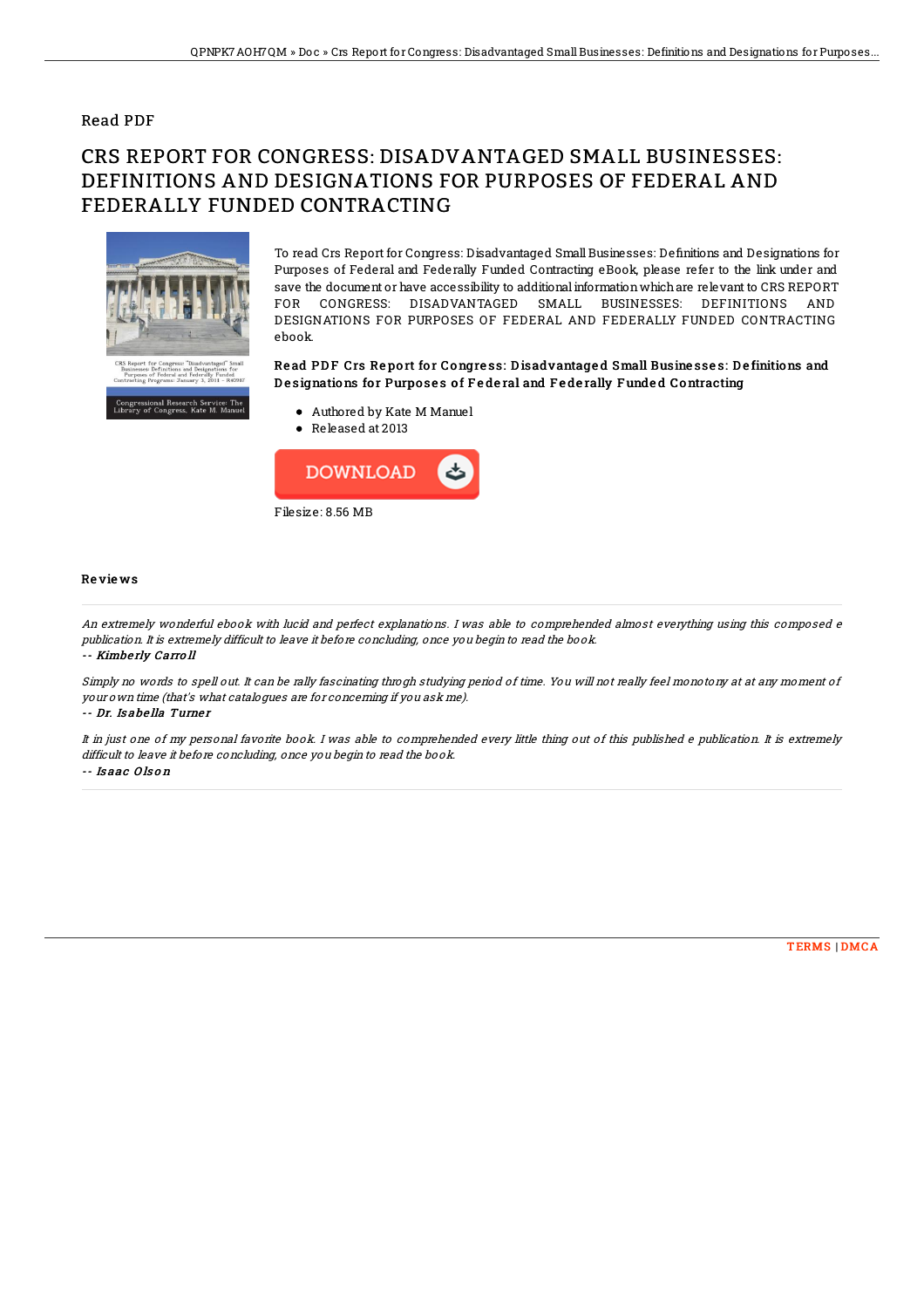## Read PDF

# CRS REPORT FOR CONGRESS: DISADVANTAGED SMALL BUSINESSES: DEFINITIONS AND DESIGNATIONS FOR PURPOSES OF FEDERAL AND FEDERALLY FUNDED CONTRACTING



To read Crs Report for Congress: Disadvantaged Small Businesses: Definitions and Designations for Purposes of Federal and Federally Funded Contracting eBook, please refer to the link under and save the document or have accessibility to additionalinformationwhichare relevant to CRS REPORT FOR CONGRESS: DISADVANTAGED SMALL BUSINESSES: DEFINITIONS AND DESIGNATIONS FOR PURPOSES OF FEDERAL AND FEDERALLY FUNDED CONTRACTING ebook.

### Read PDF Crs Report for Congress: Disadvantaged Small Businesses: Definitions and Designations for Purposes of Federal and Federally Funded Contracting

- Authored by Kate M Manuel
- Released at 2013



#### Re vie ws

An extremely wonderful ebook with lucid and perfect explanations. I was able to comprehended almost everything using this composed <sup>e</sup> publication. It is extremely difficult to leave it before concluding, once you begin to read the book. -- Kimbe rly Carro ll

Simply no words to spell out. It can be rally fascinating throgh studying period of time. You will not really feel monotony at at any moment of your own time (that's what catalogues are for concerning if you ask me).

#### -- Dr. Is abe lla Turne <sup>r</sup>

It in just one of my personal favorite book. I was able to comprehended every little thing out of this published <sup>e</sup> publication. It is extremely difficult to leave it before concluding, once you begin to read the book. -- Is aac O ls o <sup>n</sup>

#### [TERMS](http://almighty24.tech/terms.html) | [DMCA](http://almighty24.tech/dmca.html)